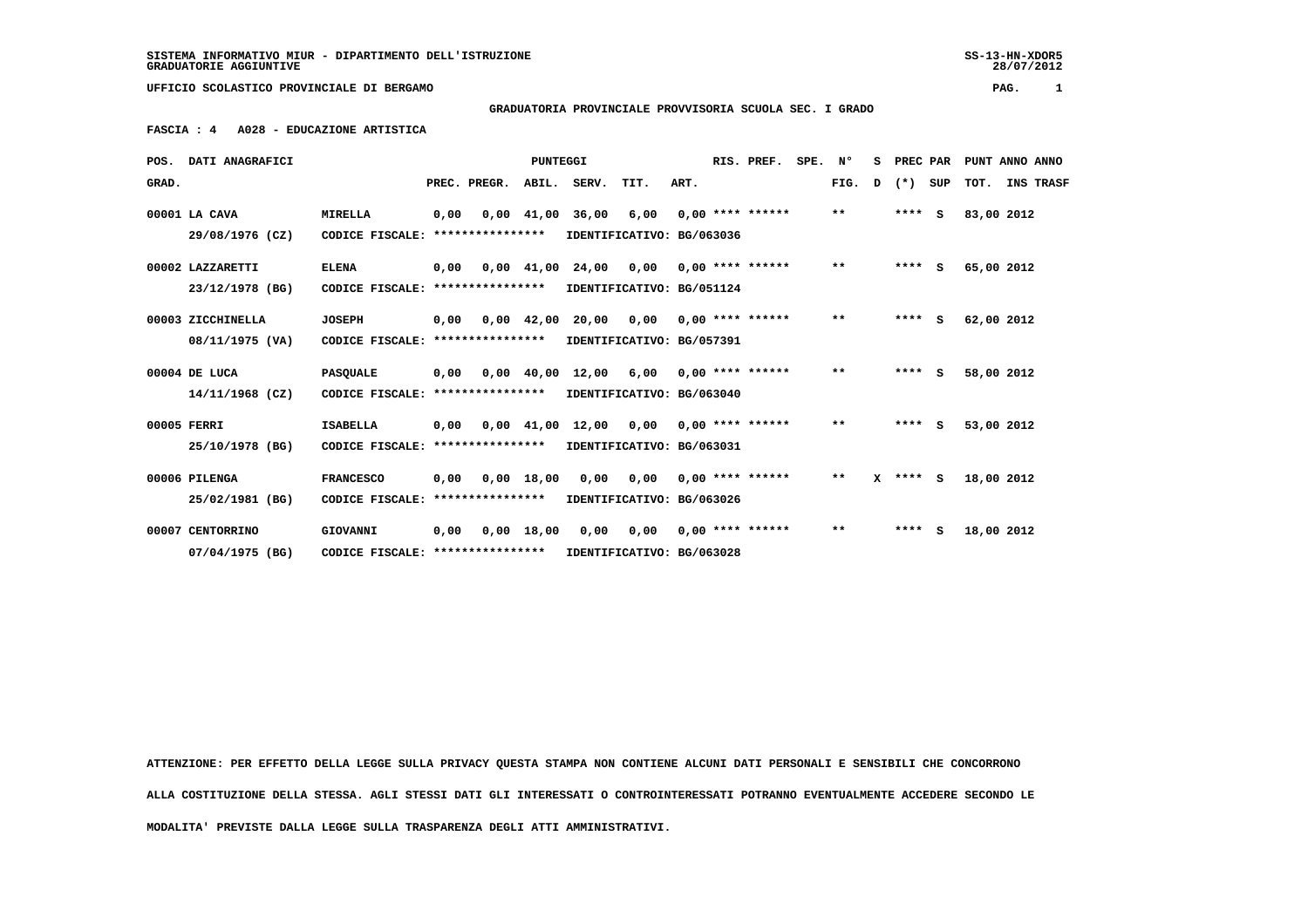SS-13-HN-XDOR5<br>28/07/2012

 **UFFICIO SCOLASTICO PROVINCIALE DI BERGAMO PAG. 1**

## **GRADUATORIA PROVINCIALE PROVVISORIA SCUOLA SEC. I GRADO**

 **FASCIA : 4 A028 - EDUCAZIONE ARTISTICA**

|       | POS. DATI ANAGRAFICI |                                   | <b>PUNTEGGI</b> |                  |                |             |                                                                          |      | RIS. PREF.         | SPE. Nº |              | s | PREC PAR     | PUNT ANNO ANNO |  |  |  |  |  |
|-------|----------------------|-----------------------------------|-----------------|------------------|----------------|-------------|--------------------------------------------------------------------------|------|--------------------|---------|--------------|---|--------------|----------------|--|--|--|--|--|
| GRAD. |                      |                                   |                 | PREC. PREGR.     |                | ABIL. SERV. | TIT.                                                                     | ART. |                    |         | FIG.         | D | (*) SUP      | TOT. INS TRASF |  |  |  |  |  |
|       | 00001 LA CAVA        | <b>MIRELLA</b>                    | 0,00            |                  | $0,00$ $41,00$ | 36,00       | 6,00                                                                     |      | $0,00$ **** ****** |         | $***$        |   | $***$ S      | 83,00 2012     |  |  |  |  |  |
|       | 29/08/1976 (CZ)      | CODICE FISCALE:                   |                 | **************** |                |             | IDENTIFICATIVO: BG/063036                                                |      |                    |         |              |   |              |                |  |  |  |  |  |
|       | 00002 LAZZARETTI     | <b>ELENA</b>                      | 0,00            |                  |                |             | $0,00$ $41,00$ $24,00$ $0,00$                                            |      | $0.00$ **** ****** |         | $\star\star$ |   | $***$ S      | 65,00 2012     |  |  |  |  |  |
|       | 23/12/1978 (BG)      | CODICE FISCALE: ****************  |                 |                  |                |             | IDENTIFICATIVO: BG/051124                                                |      |                    |         |              |   |              |                |  |  |  |  |  |
|       | 00003 ZICCHINELLA    | <b>JOSEPH</b>                     | 0,00            |                  | $0,00$ 42,00   |             | 20,00 0,00                                                               |      | $0.00$ **** ****** |         | $\star\star$ |   | $***$ S      | 62,00 2012     |  |  |  |  |  |
|       | 08/11/1975 (VA)      | CODICE FISCALE: ****************  |                 |                  |                |             | IDENTIFICATIVO: BG/057391                                                |      |                    |         |              |   |              |                |  |  |  |  |  |
|       | 00004 DE LUCA        | <b>PASQUALE</b>                   | 0,00            |                  |                |             | 0,00 40,00 12,00 6,00                                                    |      | $0,00$ **** ****** |         | $\star\star$ |   | $***$ S      | 58,00 2012     |  |  |  |  |  |
|       | 14/11/1968 (CZ)      | CODICE FISCALE: ****************  |                 |                  |                |             | IDENTIFICATIVO: BG/063040                                                |      |                    |         |              |   |              |                |  |  |  |  |  |
|       | 00005 FERRI          | <b>ISABELLA</b>                   | 0,00            |                  |                |             | $0.00 \quad 41.00 \quad 12.00 \quad 0.00 \quad 0.00 \quad *** \quad ***$ |      |                    |         | $\star\star$ |   | $***$ S      | 53,00 2012     |  |  |  |  |  |
|       | 25/10/1978 (BG)      | CODICE FISCALE:                   |                 | **************** |                |             | IDENTIFICATIVO: BG/063031                                                |      |                    |         |              |   |              |                |  |  |  |  |  |
|       | 00006 PILENGA        | <b>FRANCESCO</b>                  | 0,00            |                  | $0,00$ 18,00   |             | 0,00 0,00                                                                |      | $0.00$ **** ****** |         | $\star\star$ |   | $X$ **** $S$ | 18,00 2012     |  |  |  |  |  |
|       | 25/02/1981 (BG)      | CODICE FISCALE: ****************  |                 |                  |                |             | IDENTIFICATIVO: BG/063026                                                |      |                    |         |              |   |              |                |  |  |  |  |  |
|       | 00007 CENTORRINO     | GIOVANNI                          | 0,00            |                  |                |             | 0,00 18,00 0,00 0,00                                                     |      | $0.00$ **** ****** |         | $***$        |   | $***$ S      | 18,00 2012     |  |  |  |  |  |
|       | 07/04/1975 (BG)      | CODICE FISCALE: ***************** |                 |                  |                |             | IDENTIFICATIVO: BG/063028                                                |      |                    |         |              |   |              |                |  |  |  |  |  |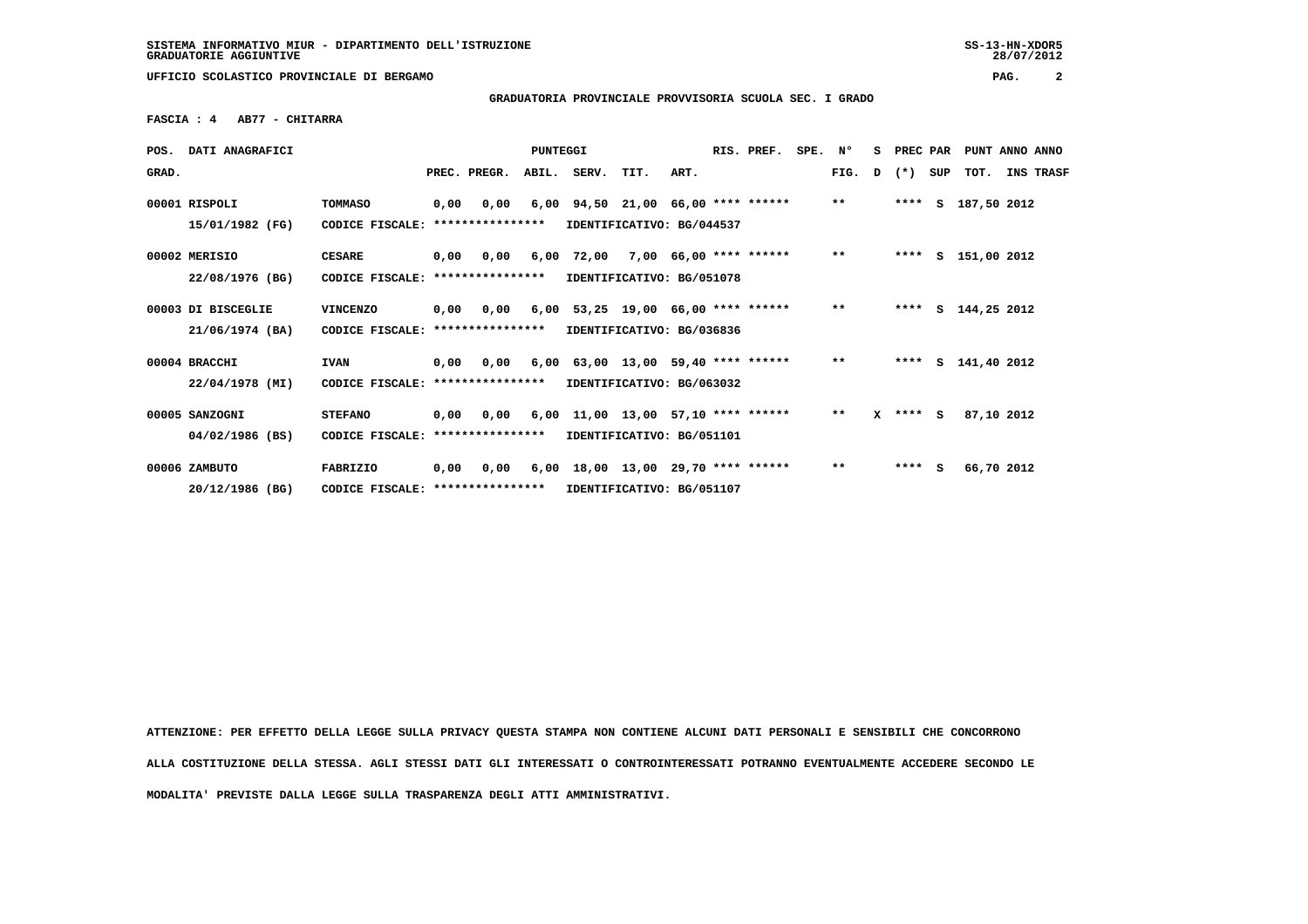28/07/2012

 **UFFICIO SCOLASTICO PROVINCIALE DI BERGAMO PAG. 2**

 **GRADUATORIA PROVINCIALE PROVVISORIA SCUOLA SEC. I GRADO**

 **FASCIA : 4 AB77 - CHITARRA**

| POS.  | <b>DATI ANAGRAFICI</b>           |                                   |      |                          |       | RIS. PREF.<br>PUNTEGGI                                                  |      |      | SPE. | N°                           | s | PREC PAR     |   |              | PUNT ANNO ANNO |                    |            |           |
|-------|----------------------------------|-----------------------------------|------|--------------------------|-------|-------------------------------------------------------------------------|------|------|------|------------------------------|---|--------------|---|--------------|----------------|--------------------|------------|-----------|
| GRAD. |                                  |                                   |      | PREC. PREGR.             | ABIL. | SERV.                                                                   | TIT. | ART. |      |                              |   | FIG.         | D | $(*)$        | SUP            | тот.               |            | INS TRASF |
|       | 00001 RISPOLI<br>15/01/1982 (FG) | <b>TOMMASO</b><br>CODICE FISCALE: | 0,00 | 0.00<br>**************** |       | $6,00$ $94,50$ $21,00$ $66,00$ **** ******<br>IDENTIFICATIVO: BG/044537 |      |      |      |                              |   | $***$        |   |              |                | **** S 187,50 2012 |            |           |
|       |                                  |                                   |      |                          |       |                                                                         |      |      |      |                              |   |              |   |              |                |                    |            |           |
|       | 00002 MERISIO                    | <b>CESARE</b>                     | 0,00 | 0.00                     | 6,00  |                                                                         |      |      |      | 72,00 7,00 66,00 **** ****** |   | $***$        |   | ****         |                | S 151,00 2012      |            |           |
|       | 22/08/1976 (BG)                  | CODICE FISCALE:                   |      | ****************         |       | IDENTIFICATIVO: BG/051078                                               |      |      |      |                              |   |              |   |              |                |                    |            |           |
|       | 00003 DI BISCEGLIE               | <b>VINCENZO</b>                   | 0,00 | 0.00                     |       | $6,00$ 53,25 19,00 66,00 **** ******                                    |      |      |      |                              |   | $***$        |   |              |                | **** S 144,25 2012 |            |           |
|       | 21/06/1974 (BA)                  | CODICE FISCALE:                   |      | ****************         |       | IDENTIFICATIVO: BG/036836                                               |      |      |      |                              |   |              |   |              |                |                    |            |           |
|       | 00004 BRACCHI                    | <b>IVAN</b>                       | 0,00 | 0.00                     |       | $6,00$ $63,00$ $13,00$ $59,40$ **** ******                              |      |      |      |                              |   | $***$        |   | ****         |                | S 141,40 2012      |            |           |
|       | 22/04/1978 (MI)                  | CODICE FISCALE: ***************** |      |                          |       | IDENTIFICATIVO: BG/063032                                               |      |      |      |                              |   |              |   |              |                |                    |            |           |
|       | 00005 SANZOGNI                   | <b>STEFANO</b>                    | 0,00 | 0.00                     |       | $6,00$ 11,00 13,00 57,10 **** ******                                    |      |      |      |                              |   | $***$        |   | $X$ **** $S$ |                |                    | 87,10 2012 |           |
|       | 04/02/1986 (BS)                  | CODICE FISCALE:                   |      | ****************         |       | IDENTIFICATIVO: BG/051101                                               |      |      |      |                              |   |              |   |              |                |                    |            |           |
|       | 00006 ZAMBUTO                    | <b>FABRIZIO</b>                   | 0,00 | 0,00                     |       | $6,00$ 18,00 13,00 29,70 **** ******                                    |      |      |      |                              |   | $\star\star$ |   | $***$ S      |                |                    | 66,70 2012 |           |
|       | 20/12/1986 (BG)                  | CODICE FISCALE:                   |      | ****************         |       | IDENTIFICATIVO: BG/051107                                               |      |      |      |                              |   |              |   |              |                |                    |            |           |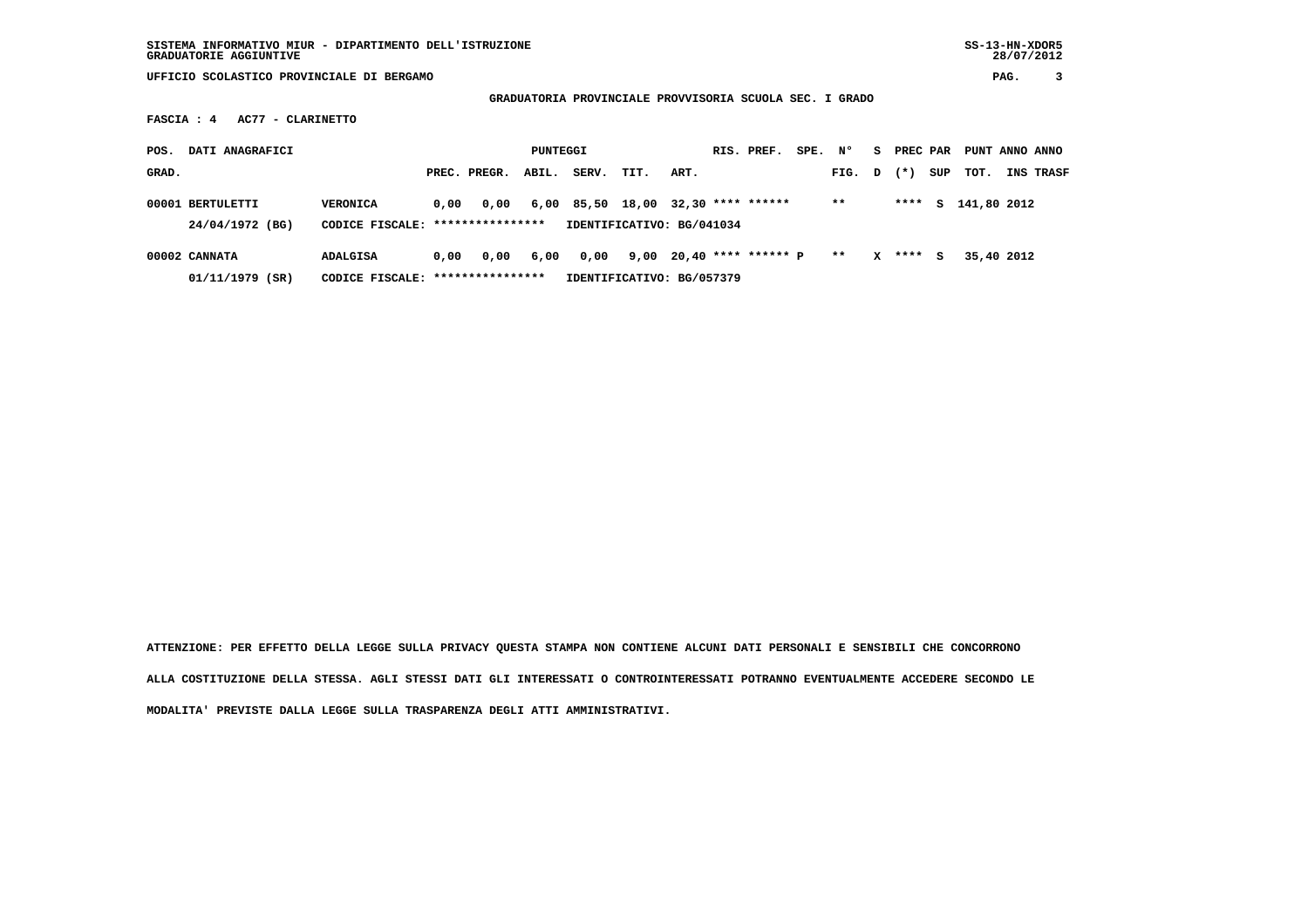**SISTEMA INFORMATIVO MIUR - DIPARTIMENTO DELL'ISTRUZIONE SS-13-HN-XDOR5**GRADUATORIE AGGIUNTIVE

28/07/2012

 **UFFICIO SCOLASTICO PROVINCIALE DI BERGAMO PAG. 3**

 **GRADUATORIA PROVINCIALE PROVVISORIA SCUOLA SEC. I GRADO**

 **FASCIA : 4 AC77 - CLARINETTO**

| DATI ANAGRAFICI<br>POS.             |                 | PUNTEGGI                                  |              |       |       |                                                                 | RIS. PREF. |  |                          | SPE. N° |        | S. | PREC PAR |     | PUNT ANNO ANNO |                  |
|-------------------------------------|-----------------|-------------------------------------------|--------------|-------|-------|-----------------------------------------------------------------|------------|--|--------------------------|---------|--------|----|----------|-----|----------------|------------------|
| GRAD.                               |                 |                                           | PREC. PREGR. | ABIL. | SERV. | TIT.                                                            | ART.       |  |                          |         | FIG. D |    | $(* )$   | SUP | тот.           | <b>INS TRASF</b> |
| 00001 BERTULETTI<br>24/04/1972 (BG) | <b>VERONICA</b> | 0.00<br>CODICE FISCALE: ****************  | 0,00         |       |       | 6,00 85,50 18,00 32,30 **** ******<br>IDENTIFICATIVO: BG/041034 |            |  |                          |         | $***$  |    | ****     | s   | 141,80 2012    |                  |
| 00002 CANNATA<br>01/11/1979 (SR)    | <b>ADALGISA</b> | 0.00<br>CODICE FISCALE: ***************** | 0,00         | 6,00  | 0,00  | IDENTIFICATIVO: BG/057379                                       |            |  | 9,00 20,40 **** ****** P |         | $* *$  | x  | ****     | S.  | 35,40 2012     |                  |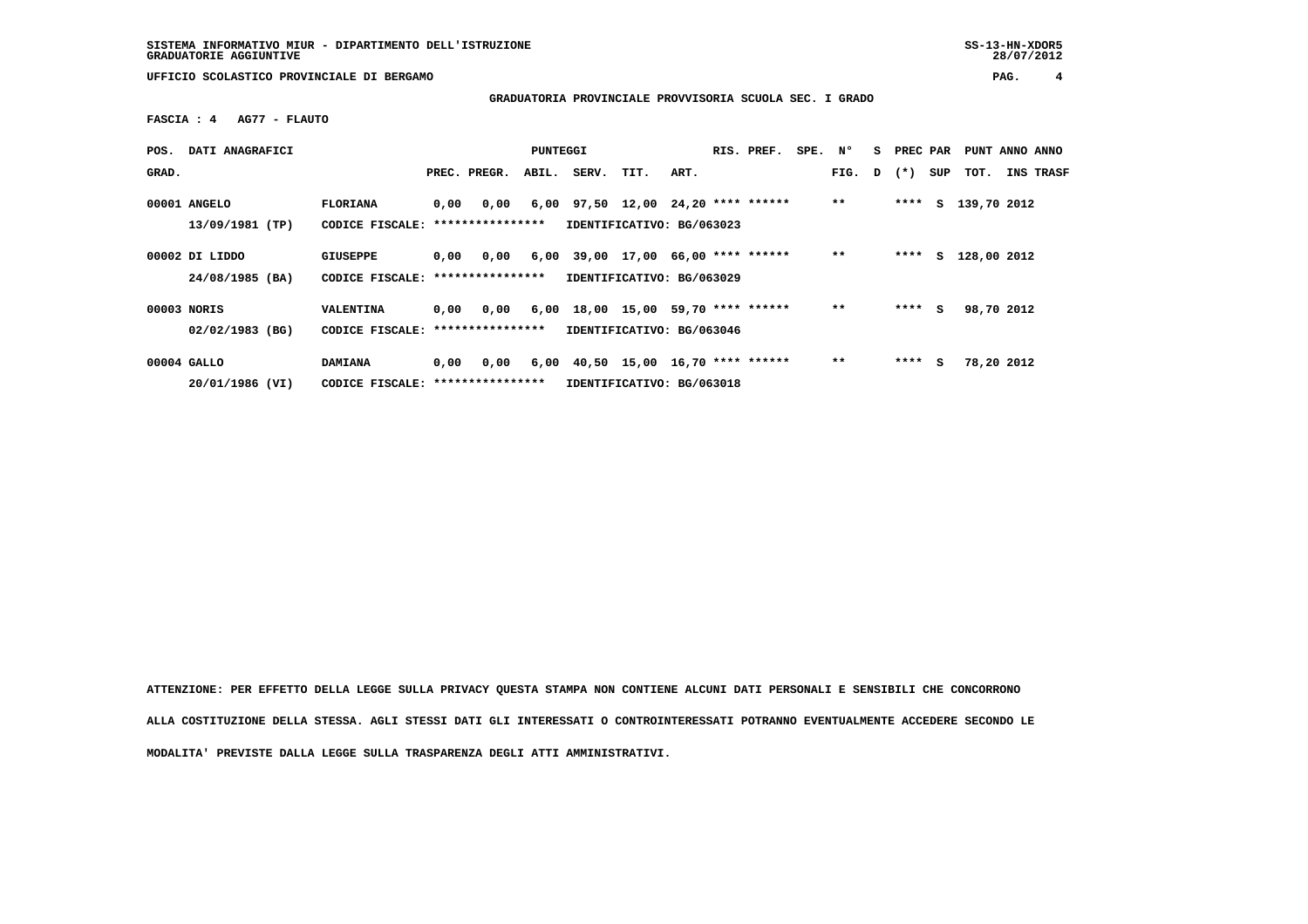**SISTEMA INFORMATIVO MIUR - DIPARTIMENTO DELL'ISTRUZIONE SS-13-HN-XDOR5**GRADUATORIE AGGIUNTIVE

28/07/2012

 **UFFICIO SCOLASTICO PROVINCIALE DI BERGAMO PAG. 4**

 **GRADUATORIA PROVINCIALE PROVVISORIA SCUOLA SEC. I GRADO**

 **FASCIA : 4 AG77 - FLAUTO**

| POS.  | DATI ANAGRAFICI                   |                                                      |      |              | PUNTEGGI |                                                                         |      |      | RIS. PREF. | SPE. N° |              | S. | PREC PAR |     | PUNT ANNO ANNO |                  |
|-------|-----------------------------------|------------------------------------------------------|------|--------------|----------|-------------------------------------------------------------------------|------|------|------------|---------|--------------|----|----------|-----|----------------|------------------|
| GRAD. |                                   |                                                      |      | PREC. PREGR. |          | ABIL. SERV.                                                             | TIT. | ART. |            |         | FIG. D $(*)$ |    |          | SUP | тот.           | <b>INS TRASF</b> |
|       | 00001 ANGELO<br>13/09/1981 (TP)   | <b>FLORIANA</b><br>CODICE FISCALE: ***************** | 0,00 | 0,00         |          | $6,00$ $97,50$ $12,00$ $24,20$ **** ******<br>IDENTIFICATIVO: BG/063023 |      |      |            |         | $* *$        |    | ****     |     | S 139,70 2012  |                  |
|       | 00002 DI LIDDO<br>24/08/1985 (BA) | <b>GIUSEPPE</b><br>CODICE FISCALE: ****************  | 0,00 | 0,00         |          | $6,00$ 39,00 17,00 66,00 **** ******<br>IDENTIFICATIVO: BG/063029       |      |      |            |         | $* *$        |    | ****     | S.  | 128,00 2012    |                  |
|       | 00003 NORIS<br>02/02/1983 (BG)    | VALENTINA<br>CODICE FISCALE: ****************        | 0,00 | 0,00         |          | 6,00 18,00 15,00 59,70 **** ******<br>IDENTIFICATIVO: BG/063046         |      |      |            |         | $***$        |    | $***$ S  |     | 98,70 2012     |                  |
|       | 00004 GALLO<br>20/01/1986 (VI)    | <b>DAMIANA</b><br>CODICE FISCALE: *****************  | 0.00 | 0.00         |          | $6,00$ $40,50$ $15,00$ $16,70$ **** ******<br>IDENTIFICATIVO: BG/063018 |      |      |            |         | $***$        |    | $***$ S  |     | 78,20 2012     |                  |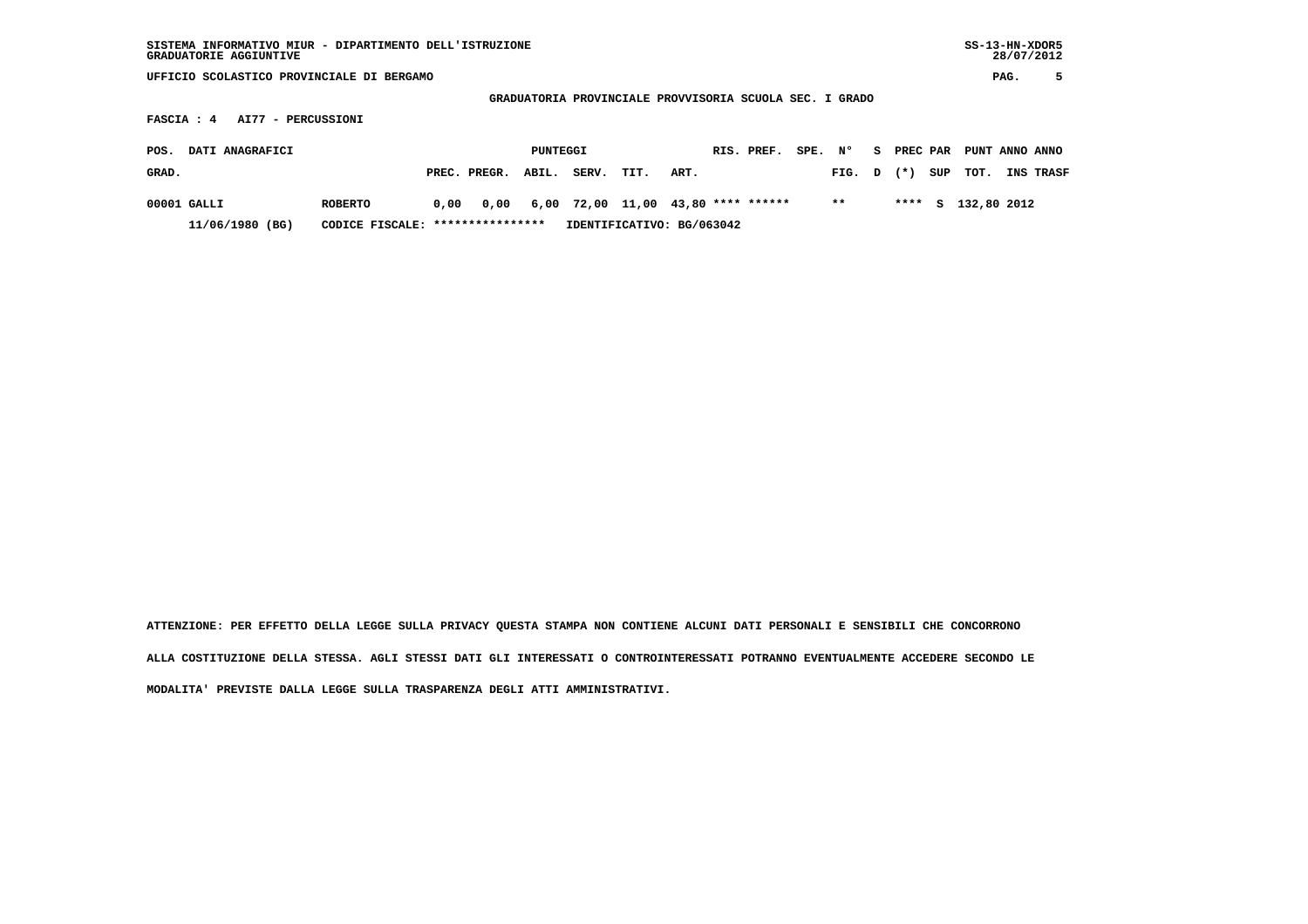| $SS-13-HN-XDOR5$<br>SISTEMA INFORMATIVO MIUR - DIPARTIMENTO DELL'ISTRUZIONE<br>GRADUATORIE AGGIUNTIVE |                                                         |                           |                   |                       |             |                |  |  |  |  |  |  |  |  |  |
|-------------------------------------------------------------------------------------------------------|---------------------------------------------------------|---------------------------|-------------------|-----------------------|-------------|----------------|--|--|--|--|--|--|--|--|--|
|                                                                                                       | UFFICIO SCOLASTICO PROVINCIALE DI BERGAMO               |                           |                   |                       |             |                |  |  |  |  |  |  |  |  |  |
|                                                                                                       | GRADUATORIA PROVINCIALE PROVVISORIA SCUOLA SEC. I GRADO |                           |                   |                       |             |                |  |  |  |  |  |  |  |  |  |
| AI77 - PERCUSSIONI<br>FASCIA : 4                                                                      |                                                         |                           |                   |                       |             |                |  |  |  |  |  |  |  |  |  |
| DATI ANAGRAFICI<br>POS.                                                                               |                                                         | PUNTEGGI                  | RIS. PREF.        | SPE. N°<br>S PREC PAR |             | PUNT ANNO ANNO |  |  |  |  |  |  |  |  |  |
| GRAD.                                                                                                 | PREC. PREGR.<br>ABIL.                                   | SERV.<br>TIT.<br>ART.     |                   | $(* )$<br>FIG. D      | SUP<br>тот. | INS TRASF      |  |  |  |  |  |  |  |  |  |
| $00001$ GALLI<br><b>ROBERTO</b>                                                                       | 0,00<br>6,00<br>0.00                                    | 72,00 11,00               | 43,80 **** ****** | $* *$<br>****         | s.          | 132,80 2012    |  |  |  |  |  |  |  |  |  |
| 11/06/1980 (BG)                                                                                       | CODICE FISCALE: *****************                       | IDENTIFICATIVO: BG/063042 |                   |                       |             |                |  |  |  |  |  |  |  |  |  |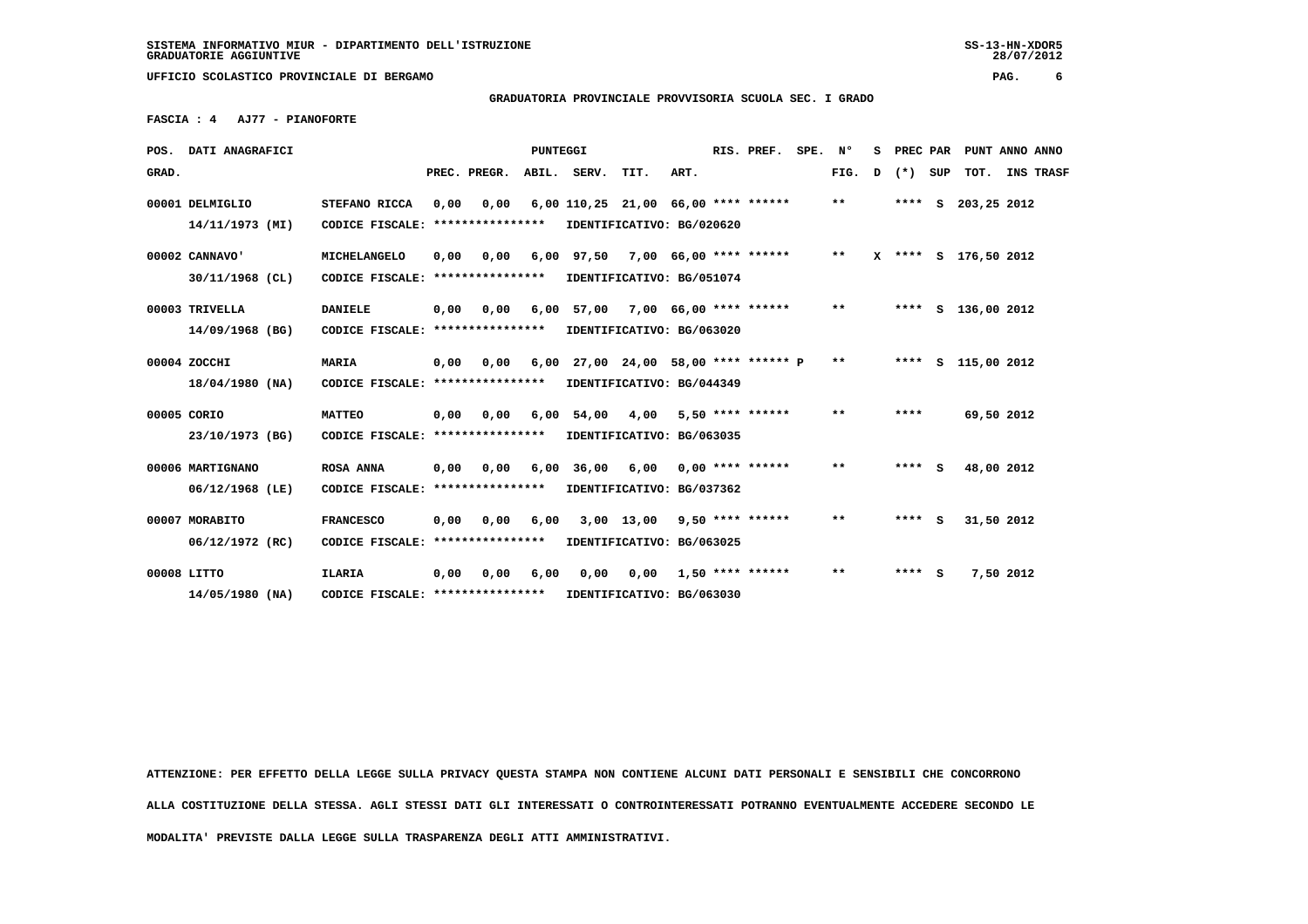28/07/2012

 **UFFICIO SCOLASTICO PROVINCIALE DI BERGAMO PAG. 6**

 **GRADUATORIA PROVINCIALE PROVVISORIA SCUOLA SEC. I GRADO**

 **FASCIA : 4 AJ77 - PIANOFORTE**

|       | POS. DATI ANAGRAFICI |                                   | PUNTEGGI |              |      | RIS. PREF.  |                                      |      | SPE. N° |                         | s |              | PREC PAR PUNT ANNO ANNO |         |                      |  |
|-------|----------------------|-----------------------------------|----------|--------------|------|-------------|--------------------------------------|------|---------|-------------------------|---|--------------|-------------------------|---------|----------------------|--|
| GRAD. |                      |                                   |          | PREC. PREGR. |      | ABIL. SERV. | TIT.                                 | ART. |         |                         |   | FIG.         | D                       | (*) SUP | TOT. INS TRASF       |  |
|       | 00001 DELMIGLIO      | STEFANO RICCA                     | 0,00     | 0,00         |      |             | 6,00 110,25 21,00 66,00 **** ******  |      |         |                         |   | $* *$        |                         |         | **** S 203,25 2012   |  |
|       | 14/11/1973 (MI)      | CODICE FISCALE: ***************** |          |              |      |             | IDENTIFICATIVO: BG/020620            |      |         |                         |   |              |                         |         |                      |  |
|       | 00002 CANNAVO'       | MICHELANGELO                      | 0,00     | 0,00         |      |             | 6,00 97,50 7,00 66,00 **** ******    |      |         |                         |   | $***$        |                         |         | X **** S 176,50 2012 |  |
|       | $30/11/1968$ (CL)    | CODICE FISCALE: ***************** |          |              |      |             | IDENTIFICATIVO: BG/051074            |      |         |                         |   |              |                         |         |                      |  |
|       | 00003 TRIVELLA       | <b>DANIELE</b>                    | 0,00     | 0.00         |      |             | 6,00 57,00 7,00 66,00 **** ******    |      |         |                         |   | $***$        |                         |         | **** S 136,00 2012   |  |
|       | 14/09/1968 (BG)      | CODICE FISCALE: ****************  |          |              |      |             | IDENTIFICATIVO: BG/063020            |      |         |                         |   |              |                         |         |                      |  |
|       | 00004 ZOCCHI         | <b>MARIA</b>                      | 0.00     | 0,00         |      |             | 6,00 27,00 24,00 58,00 **** ****** P |      |         |                         |   | $* *$        |                         |         | **** S 115,00 2012   |  |
|       | 18/04/1980 (NA)      | CODICE FISCALE: ****************  |          |              |      |             | IDENTIFICATIVO: BG/044349            |      |         |                         |   |              |                         |         |                      |  |
|       | 00005 CORIO          | <b>MATTEO</b>                     | 0.00     | 0.00         |      |             | $6,00$ $54,00$ $4,00$                |      |         | 5,50 **** ******        |   | $* *$        |                         | ****    | 69,50 2012           |  |
|       | 23/10/1973 (BG)      | CODICE FISCALE: ****************  |          |              |      |             | IDENTIFICATIVO: BG/063035            |      |         |                         |   |              |                         |         |                      |  |
|       | 00006 MARTIGNANO     | <b>ROSA ANNA</b>                  | 0,00     | 0.00         |      |             | 6,00 36,00 6,00                      |      |         | $0.00$ **** ******      |   | $\star\star$ |                         | $***$ S | 48,00 2012           |  |
|       | $06/12/1968$ (LE)    | CODICE FISCALE: ****************  |          |              |      |             | IDENTIFICATIVO: BG/037362            |      |         |                         |   |              |                         |         |                      |  |
|       | 00007 MORABITO       | <b>FRANCESCO</b>                  | 0,00     | 0,00         | 6,00 |             | $3,00$ 13,00 9,50 **** ******        |      |         |                         |   | $**$         |                         | $***5$  | 31,50 2012           |  |
|       | 06/12/1972 (RC)      | CODICE FISCALE: ***************** |          |              |      |             | IDENTIFICATIVO: BG/063025            |      |         |                         |   |              |                         |         |                      |  |
|       | 00008 LITTO          | <b>ILARIA</b>                     | 0.00     | 0.00         | 6,00 | 0.00        |                                      |      |         | $0,00$ 1,50 **** ****** |   | $**$         |                         | $***$ S | 7,50 2012            |  |
|       | 14/05/1980 (NA)      | CODICE FISCALE: ****************  |          |              |      |             | IDENTIFICATIVO: BG/063030            |      |         |                         |   |              |                         |         |                      |  |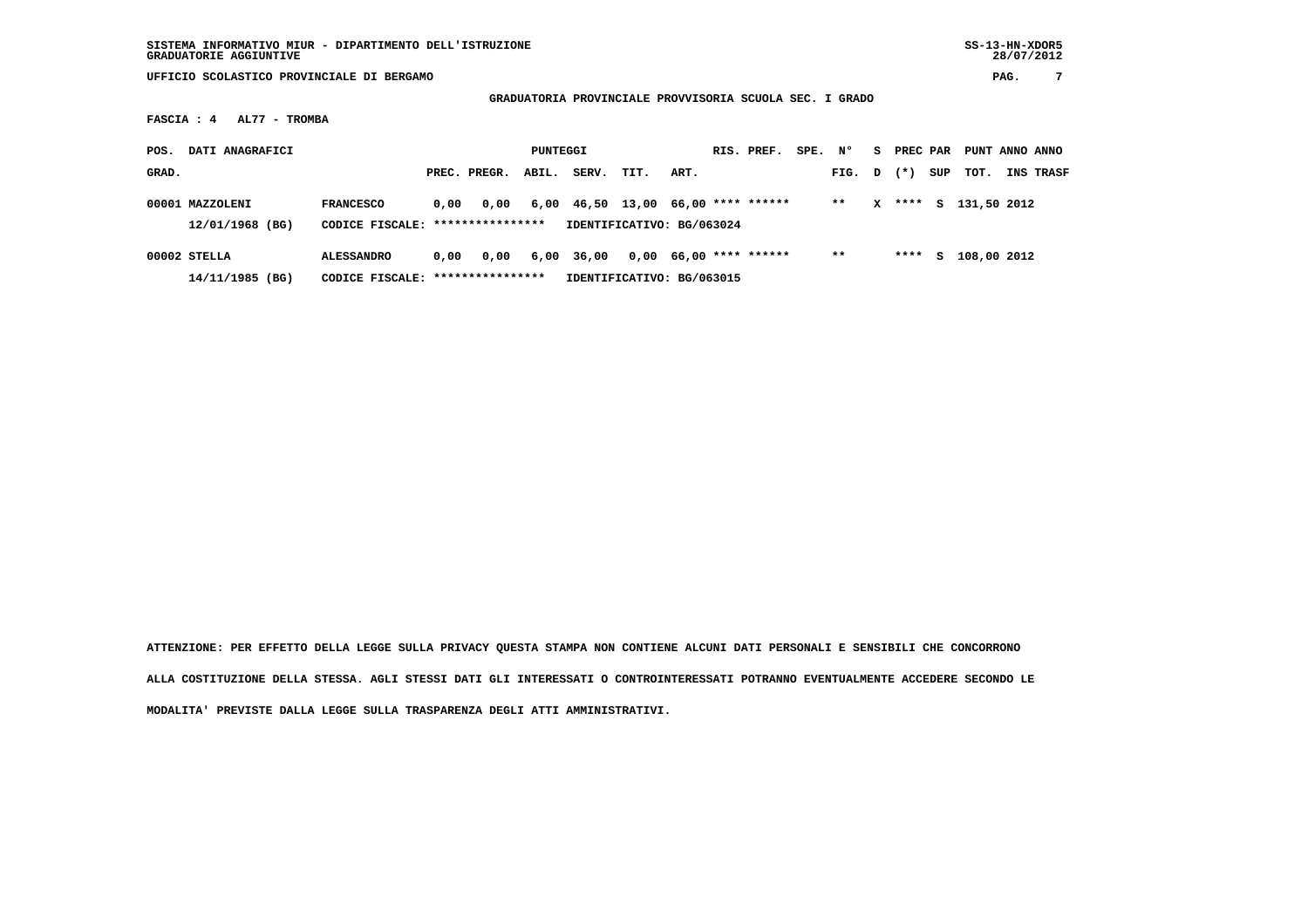| SISTEMA INFORMATIVO MIUR - DIPARTIMENTO DELL'ISTRUZIONE | SS-13-HN-XDOR5 |
|---------------------------------------------------------|----------------|
| <b>GRADUATORIE AGGIUNTIVE</b>                           | 28/07/2012     |

 **UFFICIO SCOLASTICO PROVINCIALE DI BERGAMO PAG. 7**

 **GRADUATORIA PROVINCIALE PROVVISORIA SCUOLA SEC. I GRADO**

 **FASCIA : 4 AL77 - TROMBA**

| POS.  | DATI ANAGRAFICI                    |                                                      | PUNTEGGI                          |              |       |       |                                                                         | RIS. PREF. |  |                          | SPE. | N°     | S. | PREC PAR  |     | PUNT ANNO ANNO |           |
|-------|------------------------------------|------------------------------------------------------|-----------------------------------|--------------|-------|-------|-------------------------------------------------------------------------|------------|--|--------------------------|------|--------|----|-----------|-----|----------------|-----------|
| GRAD. |                                    |                                                      |                                   | PREC. PREGR. | ABIL. | SERV. | TIT.                                                                    | ART.       |  |                          |      | FIG. D |    | $(\star)$ | SUP | тот.           | INS TRASF |
|       | 00001 MAZZOLENI<br>12/01/1968 (BG) | <b>FRANCESCO</b><br>CODICE FISCALE: **************** | 0.00                              | 0.00         |       |       | $6,00$ $46,50$ $13,00$ $66,00$ **** ******<br>IDENTIFICATIVO: BG/063024 |            |  |                          |      | $* *$  | x  | ****      | s   | 131,50 2012    |           |
|       | $00002$ STELLA                     | <b>ALESSANDRO</b>                                    | 0.00                              | 0.00         | 6,00  | 36,00 |                                                                         |            |  | $0,00$ 66,00 **** ****** |      | $* *$  |    | ****      | S.  | 108,00 2012    |           |
|       | 14/11/1985 (BG)                    |                                                      | CODICE FISCALE: ***************** |              |       |       | IDENTIFICATIVO: BG/063015                                               |            |  |                          |      |        |    |           |     |                |           |